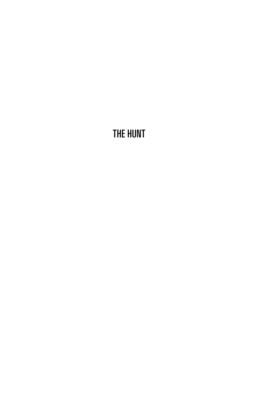The Hunt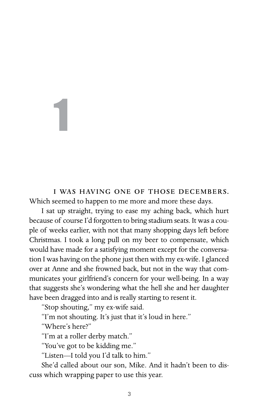I was having one of those Decembers. Which seemed to happen to me more and more these days.

 I sat up straight, trying to ease my aching back, which hurt because of course I'd forgotten to bring stadium seats. It was a couple of weeks earlier, with not that many shopping days left before Christmas. I took a long pull on my beer to compensate, which would have made for a satisfying moment except for the conversation I was having on the phone just then with my ex-wife. I glanced over at Anne and she frowned back, but not in the way that communicates your girlfriend's concern for your well-being. In a way that suggests she's wondering what the hell she and her daughter have been dragged into and is really starting to resent it.

"Stop shouting," my ex-wife said.

"I'm not shouting. It's just that it's loud in here."

"Where's here?"

1

"I'm at a roller derby match."

"You've got to be kidding me."

"Listen—I told you I'd talk to him."

She'd called about our son, Mike. And it hadn't been to discuss which wrapping paper to use this year.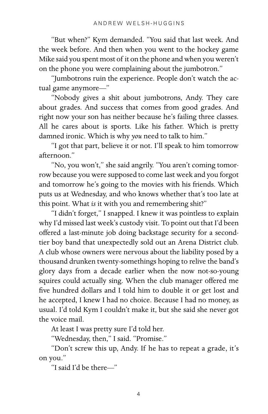"But when?" Kym demanded. "You said that last week. And the week before. And then when you went to the hockey game Mike said you spent most of it on the phone and when you weren't on the phone you were complaining about the jumbotron."

"Jumbotrons ruin the experience. People don't watch the actual game anymore—"

"Nobody gives a shit about jumbotrons, Andy. They care about grades. And success that comes from good grades. And right now your son has neither because he's failing three classes. All he cares about is sports. Like his father. Which is pretty damned ironic. Which is why *you* need to talk to him."

"I got that part, believe it or not. I'll speak to him tomorrow afternoon."

"No, you won't," she said angrily. "You aren't coming tomorrow because you were supposed to come last week and you forgot and tomorrow he's going to the movies with his friends. Which puts us at Wednesday, and who knows whether that's too late at this point. What *is* it with you and remembering shit?"

"I didn't forget," I snapped. I knew it was pointless to explain why I'd missed last week's custody visit. To point out that I'd been offered a last-minute job doing backstage security for a secondtier boy band that unexpectedly sold out an Arena District club. A club whose owners were nervous about the liability posed by a thousand drunken twenty-somethings hoping to relive the band's glory days from a decade earlier when the now not-so-young squires could actually sing. When the club manager offered me five hundred dollars and I told him to double it or get lost and he accepted, I knew I had no choice. Because I had no money, as usual. I'd told Kym I couldn't make it, but she said she never got the voice mail.

At least I was pretty sure I'd told her.

"Wednesday, then," I said. "Promise."

"Don't screw this up, Andy. If he has to repeat a grade, it's on you."

"I said I'd be there—"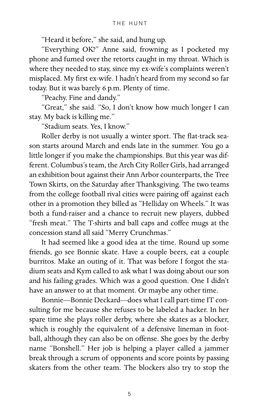"Heard it before," she said, and hung up.

"Everything OK?" Anne said, frowning as I pocketed my phone and fumed over the retorts caught in my throat. Which is where they needed to stay, since my ex-wife's complaints weren't misplaced. My first ex-wife. I hadn't heard from my second so far today. But it was barely 6 p.m. Plenty of time.

"Peachy. Fine and dandy."

"Great," she said. "So, I don't know how much longer I can stay. My back is killing me."

"Stadium seats. Yes, I know."

 Roller derby is not usually a winter sport. The flat-track season starts around March and ends late in the summer. You go a little longer if you make the championships. But this year was different. Columbus's team, the Arch City Roller Girls, had arranged an exhibition bout against their Ann Arbor counterparts, the Tree Town Skirts, on the Saturday after Thanksgiving. The two teams from the college football rival cities were pairing off against each other in a promotion they billed as "Helliday on Wheels." It was both a fund-raiser and a chance to recruit new players, dubbed "fresh meat." The T-shirts and ball caps and coffee mugs at the concession stand all said "Merry Crunchmas."

 It had seemed like a good idea at the time. Round up some friends, go see Bonnie skate. Have a couple beers, eat a couple burritos. Make an outing of it. That was before I forgot the stadium seats and Kym called to ask what I was doing about our son and his failing grades. Which was a good question. One I didn't have an answer to at that moment. Or maybe any other time.

Bonnie—Bonnie Deckard—does what I call part-time IT consulting for me because she refuses to be labeled a hacker. In her spare time she plays roller derby, where she skates as a blocker, which is roughly the equivalent of a defensive lineman in football, although they can also be on offense. She goes by the derby name "Bonshell." Her job is helping a player called a jammer break through a scrum of opponents and score points by passing skaters from the other team. The blockers also try to stop the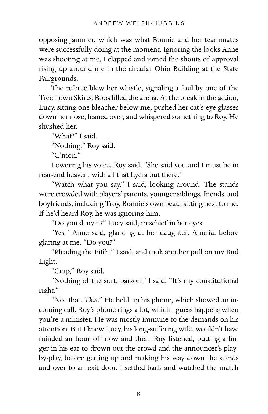opposing jammer, which was what Bonnie and her teammates were successfully doing at the moment. Ignoring the looks Anne was shooting at me, I clapped and joined the shouts of approval rising up around me in the circular Ohio Building at the State Fairgrounds.

 The referee blew her whistle, signaling a foul by one of the Tree Town Skirts. Boos filled the arena. At the break in the action, Lucy, sitting one bleacher below me, pushed her cat's-eye glasses down her nose, leaned over, and whispered something to Roy. He shushed her.

"What?" I said.

"Nothing," Roy said.

"C'mon."

 Lowering his voice, Roy said, "She said you and I must be in rear-end heaven, with all that Lycra out there."

"Watch what you say," I said, looking around. The stands were crowded with players' parents, younger siblings, friends, and boyfriends, including Troy, Bonnie's own beau, sitting next to me. If he'd heard Roy, he was ignoring him.

"Do you deny it?" Lucy said, mischief in her eyes.

"Yes," Anne said, glancing at her daughter, Amelia, before glaring at me. "Do you?"

"Pleading the Fifth," I said, and took another pull on my Bud Light.

"Crap," Roy said.

"Nothing of the sort, parson," I said. "It's my constitutional right."

"Not that. *This*." He held up his phone, which showed an incoming call. Roy's phone rings a lot, which I guess happens when you're a minister. He was mostly immune to the demands on his attention. But I knew Lucy, his long-suffering wife, wouldn't have minded an hour off now and then. Roy listened, putting a finger in his ear to drown out the crowd and the announcer's playby-play, before getting up and making his way down the stands and over to an exit door. I settled back and watched the match